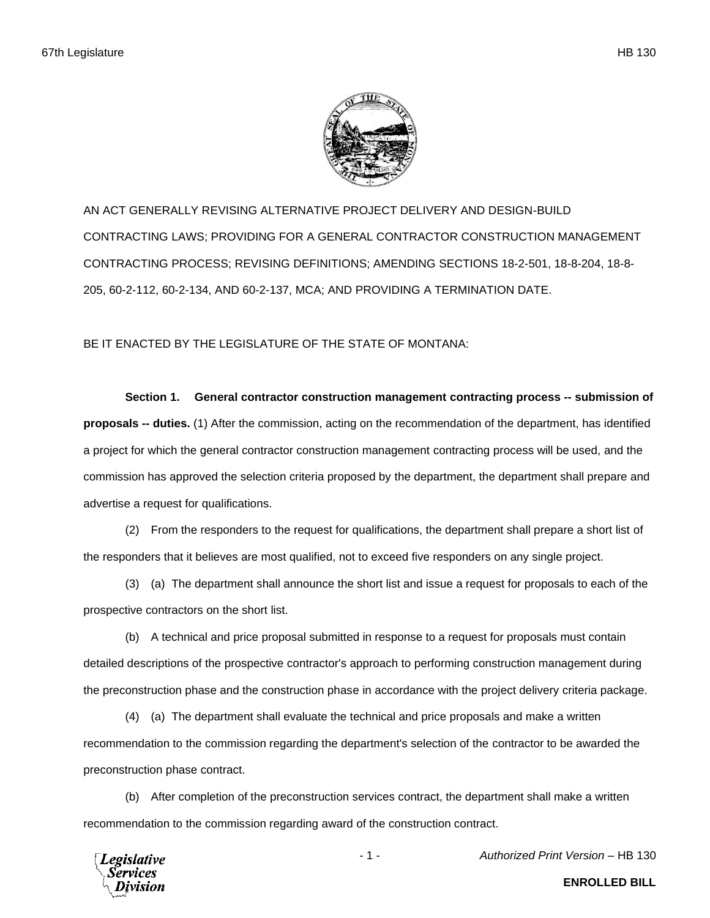

AN ACT GENERALLY REVISING ALTERNATIVE PROJECT DELIVERY AND DESIGN-BUILD CONTRACTING LAWS; PROVIDING FOR A GENERAL CONTRACTOR CONSTRUCTION MANAGEMENT CONTRACTING PROCESS; REVISING DEFINITIONS; AMENDING SECTIONS 18-2-501, 18-8-204, 18-8- 205, 60-2-112, 60-2-134, AND 60-2-137, MCA; AND PROVIDING A TERMINATION DATE.

BE IT ENACTED BY THE LEGISLATURE OF THE STATE OF MONTANA:

**Section 1. General contractor construction management contracting process -- submission of proposals -- duties.** (1) After the commission, acting on the recommendation of the department, has identified a project for which the general contractor construction management contracting process will be used, and the commission has approved the selection criteria proposed by the department, the department shall prepare and advertise a request for qualifications.

(2) From the responders to the request for qualifications, the department shall prepare a short list of the responders that it believes are most qualified, not to exceed five responders on any single project.

(3) (a) The department shall announce the short list and issue a request for proposals to each of the prospective contractors on the short list.

(b) A technical and price proposal submitted in response to a request for proposals must contain detailed descriptions of the prospective contractor's approach to performing construction management during the preconstruction phase and the construction phase in accordance with the project delivery criteria package.

(4) (a) The department shall evaluate the technical and price proposals and make a written recommendation to the commission regarding the department's selection of the contractor to be awarded the preconstruction phase contract.

(b) After completion of the preconstruction services contract, the department shall make a written recommendation to the commission regarding award of the construction contract.

egislative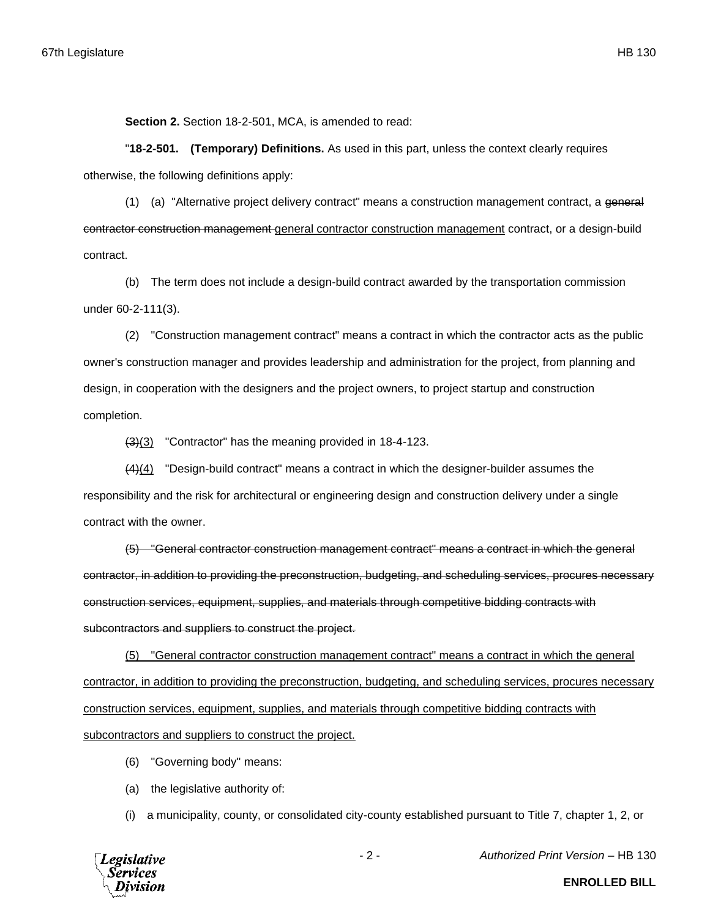**Section 2.** Section 18-2-501, MCA, is amended to read:

"**18-2-501. (Temporary) Definitions.** As used in this part, unless the context clearly requires otherwise, the following definitions apply:

(1) (a) "Alternative project delivery contract" means a construction management contract, a general contractor construction management general contractor construction management contract, or a design-build contract.

(b) The term does not include a design-build contract awarded by the transportation commission under 60-2-111(3).

(2) "Construction management contract" means a contract in which the contractor acts as the public owner's construction manager and provides leadership and administration for the project, from planning and design, in cooperation with the designers and the project owners, to project startup and construction completion.

(3)(3) "Contractor" has the meaning provided in 18-4-123.

(4)(4) "Design-build contract" means a contract in which the designer-builder assumes the responsibility and the risk for architectural or engineering design and construction delivery under a single contract with the owner.

(5) "General contractor construction management contract" means a contract in which the general contractor, in addition to providing the preconstruction, budgeting, and scheduling services, procures necessary construction services, equipment, supplies, and materials through competitive bidding contracts with subcontractors and suppliers to construct the project.

(5) "General contractor construction management contract" means a contract in which the general contractor, in addition to providing the preconstruction, budgeting, and scheduling services, procures necessary construction services, equipment, supplies, and materials through competitive bidding contracts with subcontractors and suppliers to construct the project.

- (6) "Governing body" means:
- (a) the legislative authority of:

(i) a municipality, county, or consolidated city-county established pursuant to Title 7, chapter 1, 2, or



- 2 - *Authorized Print Version* – HB 130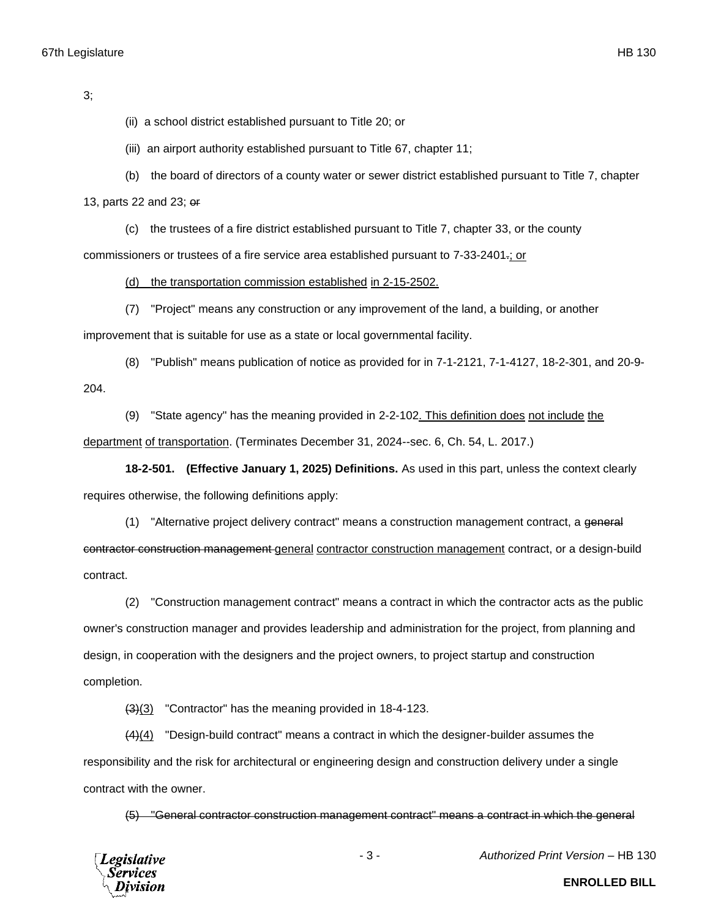3;

(ii) a school district established pursuant to Title 20; or

(iii) an airport authority established pursuant to Title 67, chapter 11;

(b) the board of directors of a county water or sewer district established pursuant to Title 7, chapter

13, parts 22 and 23; or

(c) the trustees of a fire district established pursuant to Title 7, chapter 33, or the county commissioners or trustees of a fire service area established pursuant to 7-33-2401.; or

(d) the transportation commission established in 2-15-2502.

(7) "Project" means any construction or any improvement of the land, a building, or another

improvement that is suitable for use as a state or local governmental facility.

(8) "Publish" means publication of notice as provided for in 7-1-2121, 7-1-4127, 18-2-301, and 20-9- 204.

(9) "State agency" has the meaning provided in 2-2-102. This definition does not include the department of transportation. (Terminates December 31, 2024--sec. 6, Ch. 54, L. 2017.)

**18-2-501. (Effective January 1, 2025) Definitions.** As used in this part, unless the context clearly requires otherwise, the following definitions apply:

(1) "Alternative project delivery contract" means a construction management contract, a general contractor construction management general contractor construction management contract, or a design-build contract.

(2) "Construction management contract" means a contract in which the contractor acts as the public owner's construction manager and provides leadership and administration for the project, from planning and design, in cooperation with the designers and the project owners, to project startup and construction completion.

(3)(3) "Contractor" has the meaning provided in 18-4-123.

(4)(4) "Design-build contract" means a contract in which the designer-builder assumes the responsibility and the risk for architectural or engineering design and construction delivery under a single contract with the owner.

(5) "General contractor construction management contract" means a contract in which the general



- 3 - *Authorized Print Version* – HB 130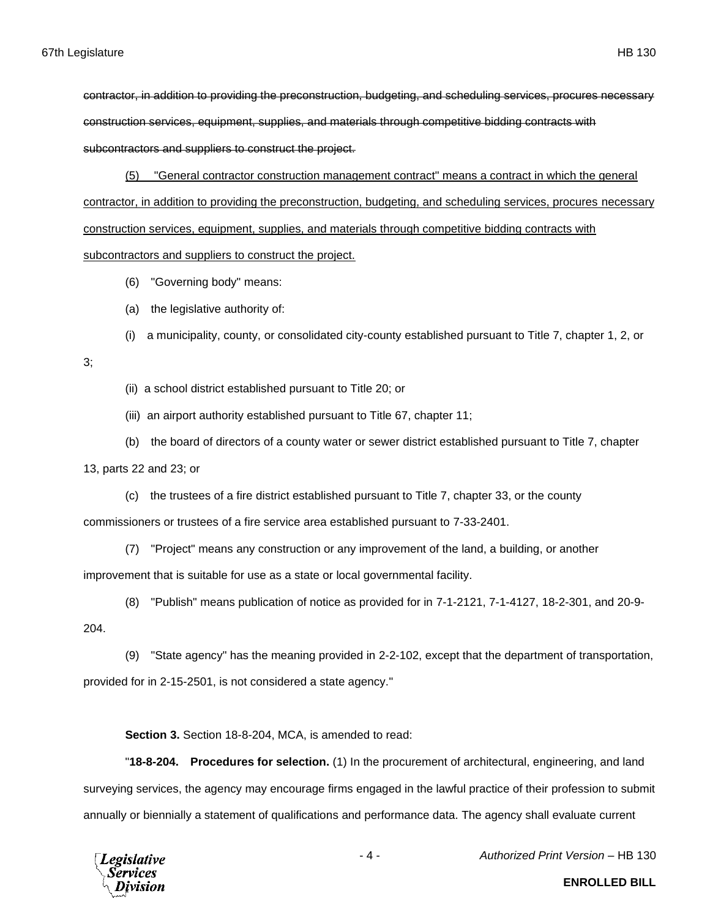contractor, in addition to providing the preconstruction, budgeting, and scheduling services, procures necessary construction services, equipment, supplies, and materials through competitive bidding contracts with subcontractors and suppliers to construct the project.

(5) "General contractor construction management contract" means a contract in which the general contractor, in addition to providing the preconstruction, budgeting, and scheduling services, procures necessary construction services, equipment, supplies, and materials through competitive bidding contracts with subcontractors and suppliers to construct the project.

- (6) "Governing body" means:
- (a) the legislative authority of:
- (i) a municipality, county, or consolidated city-county established pursuant to Title 7, chapter 1, 2, or
- 3;
- (ii) a school district established pursuant to Title 20; or
- (iii) an airport authority established pursuant to Title 67, chapter 11;
- (b) the board of directors of a county water or sewer district established pursuant to Title 7, chapter

13, parts 22 and 23; or

(c) the trustees of a fire district established pursuant to Title 7, chapter 33, or the county

commissioners or trustees of a fire service area established pursuant to 7-33-2401.

(7) "Project" means any construction or any improvement of the land, a building, or another

improvement that is suitable for use as a state or local governmental facility.

- (8) "Publish" means publication of notice as provided for in 7-1-2121, 7-1-4127, 18-2-301, and 20-9-
- 204.

(9) "State agency" has the meaning provided in 2-2-102, except that the department of transportation, provided for in 2-15-2501, is not considered a state agency."

**Section 3.** Section 18-8-204, MCA, is amended to read:

"**18-8-204. Procedures for selection.** (1) In the procurement of architectural, engineering, and land surveying services, the agency may encourage firms engaged in the lawful practice of their profession to submit annually or biennially a statement of qualifications and performance data. The agency shall evaluate current



- 4 - *Authorized Print Version* – HB 130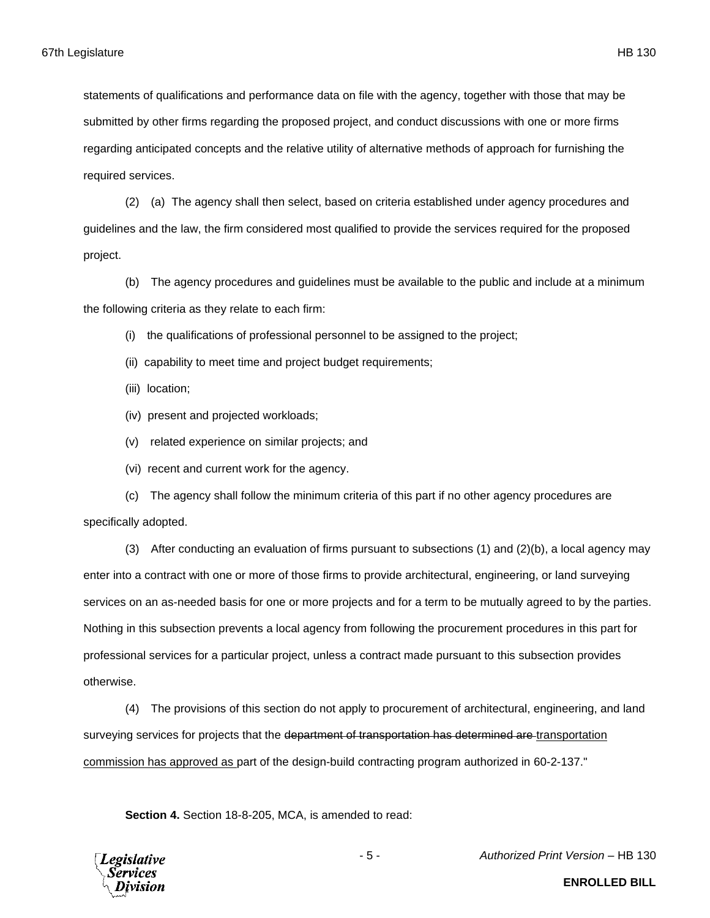statements of qualifications and performance data on file with the agency, together with those that may be submitted by other firms regarding the proposed project, and conduct discussions with one or more firms regarding anticipated concepts and the relative utility of alternative methods of approach for furnishing the required services.

(2) (a) The agency shall then select, based on criteria established under agency procedures and guidelines and the law, the firm considered most qualified to provide the services required for the proposed project.

(b) The agency procedures and guidelines must be available to the public and include at a minimum the following criteria as they relate to each firm:

(i) the qualifications of professional personnel to be assigned to the project;

(ii) capability to meet time and project budget requirements;

(iii) location;

(iv) present and projected workloads;

(v) related experience on similar projects; and

(vi) recent and current work for the agency.

(c) The agency shall follow the minimum criteria of this part if no other agency procedures are specifically adopted.

(3) After conducting an evaluation of firms pursuant to subsections (1) and (2)(b), a local agency may enter into a contract with one or more of those firms to provide architectural, engineering, or land surveying services on an as-needed basis for one or more projects and for a term to be mutually agreed to by the parties. Nothing in this subsection prevents a local agency from following the procurement procedures in this part for professional services for a particular project, unless a contract made pursuant to this subsection provides otherwise.

(4) The provisions of this section do not apply to procurement of architectural, engineering, and land surveying services for projects that the department of transportation has determined are transportation commission has approved as part of the design-build contracting program authorized in 60-2-137."

**Section 4.** Section 18-8-205, MCA, is amended to read:

**Legislative** Services

- 5 - *Authorized Print Version* – HB 130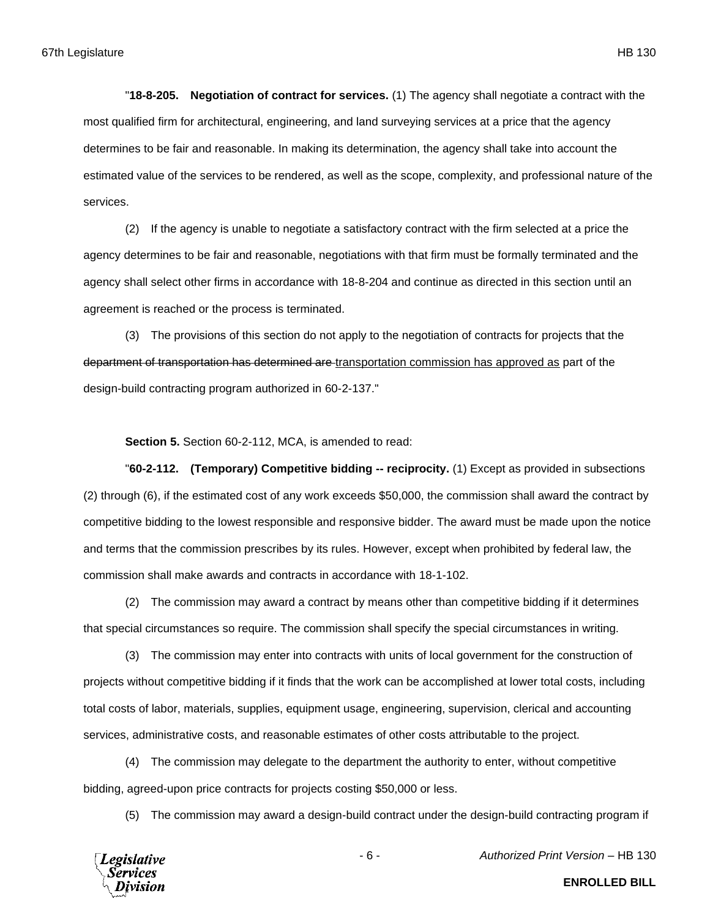"**18-8-205. Negotiation of contract for services.** (1) The agency shall negotiate a contract with the most qualified firm for architectural, engineering, and land surveying services at a price that the agency determines to be fair and reasonable. In making its determination, the agency shall take into account the estimated value of the services to be rendered, as well as the scope, complexity, and professional nature of the services.

(2) If the agency is unable to negotiate a satisfactory contract with the firm selected at a price the agency determines to be fair and reasonable, negotiations with that firm must be formally terminated and the agency shall select other firms in accordance with 18-8-204 and continue as directed in this section until an agreement is reached or the process is terminated.

(3) The provisions of this section do not apply to the negotiation of contracts for projects that the department of transportation has determined are transportation commission has approved as part of the design-build contracting program authorized in 60-2-137."

**Section 5.** Section 60-2-112, MCA, is amended to read:

"**60-2-112. (Temporary) Competitive bidding -- reciprocity.** (1) Except as provided in subsections (2) through (6), if the estimated cost of any work exceeds \$50,000, the commission shall award the contract by competitive bidding to the lowest responsible and responsive bidder. The award must be made upon the notice and terms that the commission prescribes by its rules. However, except when prohibited by federal law, the commission shall make awards and contracts in accordance with 18-1-102.

(2) The commission may award a contract by means other than competitive bidding if it determines that special circumstances so require. The commission shall specify the special circumstances in writing.

(3) The commission may enter into contracts with units of local government for the construction of projects without competitive bidding if it finds that the work can be accomplished at lower total costs, including total costs of labor, materials, supplies, equipment usage, engineering, supervision, clerical and accounting services, administrative costs, and reasonable estimates of other costs attributable to the project.

(4) The commission may delegate to the department the authority to enter, without competitive bidding, agreed-upon price contracts for projects costing \$50,000 or less.

(5) The commission may award a design-build contract under the design-build contracting program if



- 6 - *Authorized Print Version* – HB 130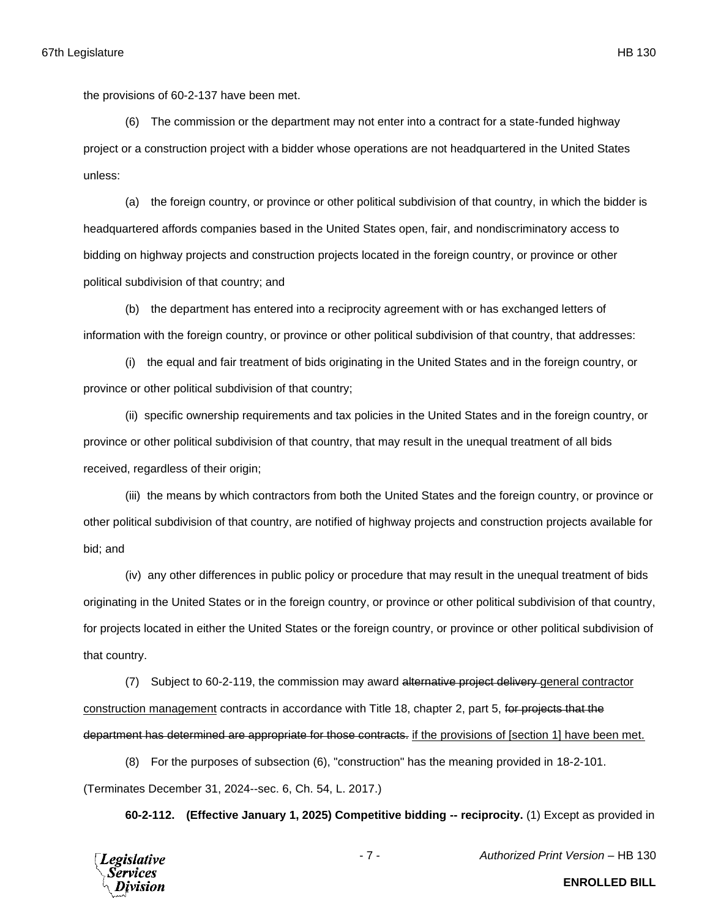the provisions of 60-2-137 have been met.

(6) The commission or the department may not enter into a contract for a state-funded highway project or a construction project with a bidder whose operations are not headquartered in the United States unless:

(a) the foreign country, or province or other political subdivision of that country, in which the bidder is headquartered affords companies based in the United States open, fair, and nondiscriminatory access to bidding on highway projects and construction projects located in the foreign country, or province or other political subdivision of that country; and

(b) the department has entered into a reciprocity agreement with or has exchanged letters of information with the foreign country, or province or other political subdivision of that country, that addresses:

(i) the equal and fair treatment of bids originating in the United States and in the foreign country, or province or other political subdivision of that country;

(ii) specific ownership requirements and tax policies in the United States and in the foreign country, or province or other political subdivision of that country, that may result in the unequal treatment of all bids received, regardless of their origin;

(iii) the means by which contractors from both the United States and the foreign country, or province or other political subdivision of that country, are notified of highway projects and construction projects available for bid; and

(iv) any other differences in public policy or procedure that may result in the unequal treatment of bids originating in the United States or in the foreign country, or province or other political subdivision of that country, for projects located in either the United States or the foreign country, or province or other political subdivision of that country.

(7) Subject to 60-2-119, the commission may award alternative project delivery general contractor construction management contracts in accordance with Title 18, chapter 2, part 5, for projects that the department has determined are appropriate for those contracts. if the provisions of [section 1] have been met.

(8) For the purposes of subsection (6), "construction" has the meaning provided in 18-2-101. (Terminates December 31, 2024--sec. 6, Ch. 54, L. 2017.)

**60-2-112. (Effective January 1, 2025) Competitive bidding -- reciprocity.** (1) Except as provided in



**ENROLLED BILL**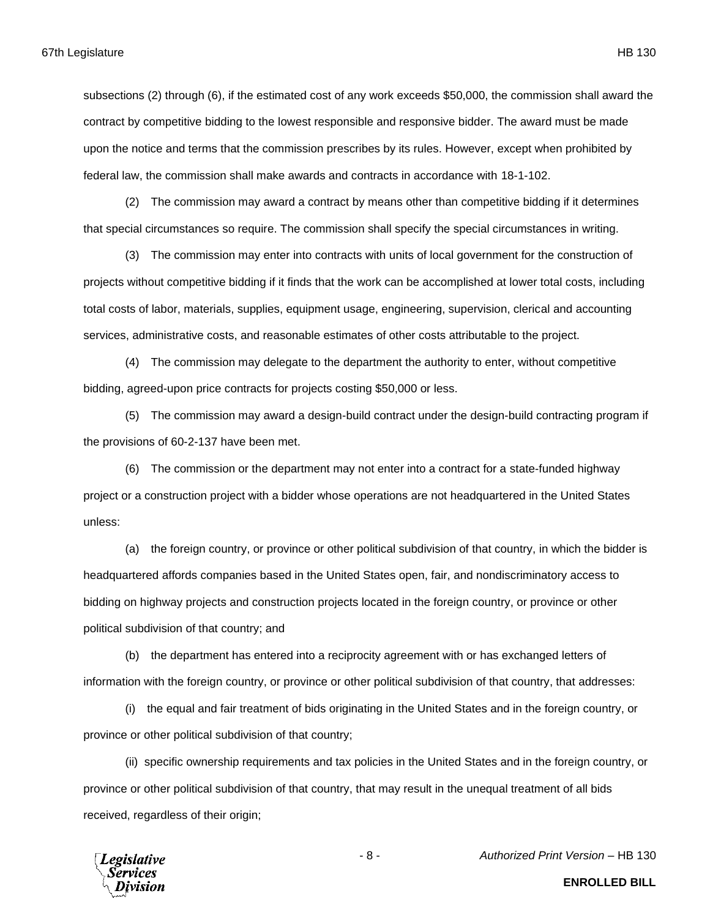subsections (2) through (6), if the estimated cost of any work exceeds \$50,000, the commission shall award the contract by competitive bidding to the lowest responsible and responsive bidder. The award must be made upon the notice and terms that the commission prescribes by its rules. However, except when prohibited by

federal law, the commission shall make awards and contracts in accordance with 18-1-102.

(2) The commission may award a contract by means other than competitive bidding if it determines that special circumstances so require. The commission shall specify the special circumstances in writing.

(3) The commission may enter into contracts with units of local government for the construction of projects without competitive bidding if it finds that the work can be accomplished at lower total costs, including total costs of labor, materials, supplies, equipment usage, engineering, supervision, clerical and accounting services, administrative costs, and reasonable estimates of other costs attributable to the project.

(4) The commission may delegate to the department the authority to enter, without competitive bidding, agreed-upon price contracts for projects costing \$50,000 or less.

(5) The commission may award a design-build contract under the design-build contracting program if the provisions of 60-2-137 have been met.

(6) The commission or the department may not enter into a contract for a state-funded highway project or a construction project with a bidder whose operations are not headquartered in the United States unless:

(a) the foreign country, or province or other political subdivision of that country, in which the bidder is headquartered affords companies based in the United States open, fair, and nondiscriminatory access to bidding on highway projects and construction projects located in the foreign country, or province or other political subdivision of that country; and

(b) the department has entered into a reciprocity agreement with or has exchanged letters of information with the foreign country, or province or other political subdivision of that country, that addresses:

(i) the equal and fair treatment of bids originating in the United States and in the foreign country, or province or other political subdivision of that country;

(ii) specific ownership requirements and tax policies in the United States and in the foreign country, or province or other political subdivision of that country, that may result in the unequal treatment of all bids received, regardless of their origin;



- 8 - *Authorized Print Version* – HB 130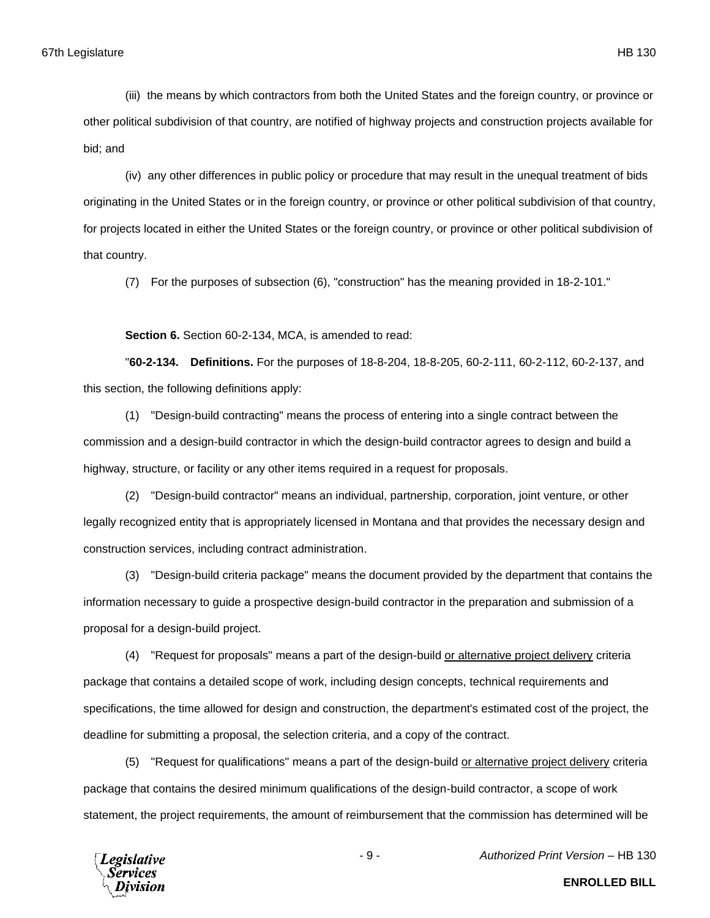(iii) the means by which contractors from both the United States and the foreign country, or province or other political subdivision of that country, are notified of highway projects and construction projects available for bid; and

(iv) any other differences in public policy or procedure that may result in the unequal treatment of bids originating in the United States or in the foreign country, or province or other political subdivision of that country, for projects located in either the United States or the foreign country, or province or other political subdivision of that country.

(7) For the purposes of subsection (6), "construction" has the meaning provided in 18-2-101."

**Section 6.** Section 60-2-134, MCA, is amended to read:

"**60-2-134. Definitions.** For the purposes of 18-8-204, 18-8-205, 60-2-111, 60-2-112, 60-2-137, and this section, the following definitions apply:

(1) "Design-build contracting" means the process of entering into a single contract between the commission and a design-build contractor in which the design-build contractor agrees to design and build a highway, structure, or facility or any other items required in a request for proposals.

(2) "Design-build contractor" means an individual, partnership, corporation, joint venture, or other legally recognized entity that is appropriately licensed in Montana and that provides the necessary design and construction services, including contract administration.

(3) "Design-build criteria package" means the document provided by the department that contains the information necessary to guide a prospective design-build contractor in the preparation and submission of a proposal for a design-build project.

(4) "Request for proposals" means a part of the design-build or alternative project delivery criteria package that contains a detailed scope of work, including design concepts, technical requirements and specifications, the time allowed for design and construction, the department's estimated cost of the project, the deadline for submitting a proposal, the selection criteria, and a copy of the contract.

(5) "Request for qualifications" means a part of the design-build or alternative project delivery criteria package that contains the desired minimum qualifications of the design-build contractor, a scope of work statement, the project requirements, the amount of reimbursement that the commission has determined will be



**ENROLLED BILL**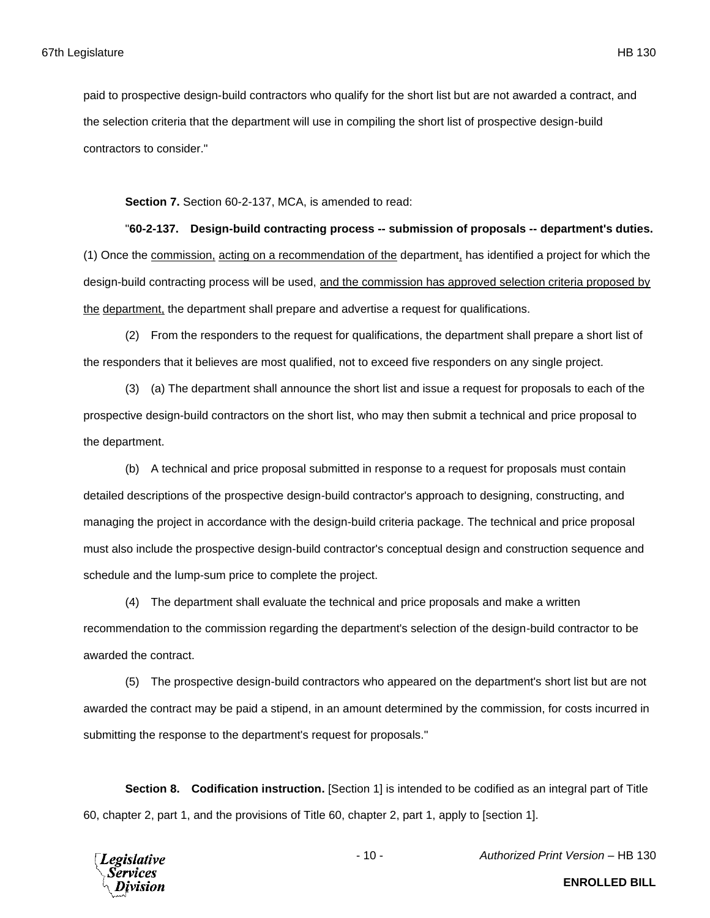paid to prospective design-build contractors who qualify for the short list but are not awarded a contract, and the selection criteria that the department will use in compiling the short list of prospective design-build contractors to consider."

**Section 7.** Section 60-2-137, MCA, is amended to read:

"**60-2-137. Design-build contracting process -- submission of proposals -- department's duties.** (1) Once the commission, acting on a recommendation of the department, has identified a project for which the design-build contracting process will be used, and the commission has approved selection criteria proposed by the department, the department shall prepare and advertise a request for qualifications.

(2) From the responders to the request for qualifications, the department shall prepare a short list of the responders that it believes are most qualified, not to exceed five responders on any single project.

(3) (a) The department shall announce the short list and issue a request for proposals to each of the prospective design-build contractors on the short list, who may then submit a technical and price proposal to the department.

(b) A technical and price proposal submitted in response to a request for proposals must contain detailed descriptions of the prospective design-build contractor's approach to designing, constructing, and managing the project in accordance with the design-build criteria package. The technical and price proposal must also include the prospective design-build contractor's conceptual design and construction sequence and schedule and the lump-sum price to complete the project.

(4) The department shall evaluate the technical and price proposals and make a written recommendation to the commission regarding the department's selection of the design-build contractor to be awarded the contract.

(5) The prospective design-build contractors who appeared on the department's short list but are not awarded the contract may be paid a stipend, in an amount determined by the commission, for costs incurred in submitting the response to the department's request for proposals."

**Section 8. Codification instruction.** [Section 1] is intended to be codified as an integral part of Title 60, chapter 2, part 1, and the provisions of Title 60, chapter 2, part 1, apply to [section 1].



- 10 - *Authorized Print Version* – HB 130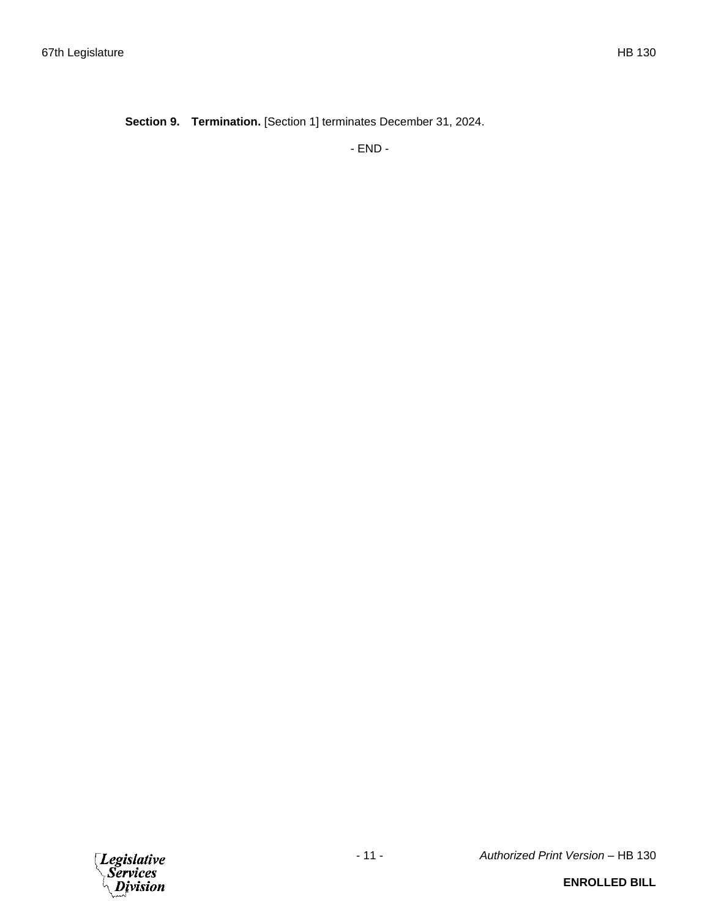**Section 9. Termination.** [Section 1] terminates December 31, 2024.

- END -

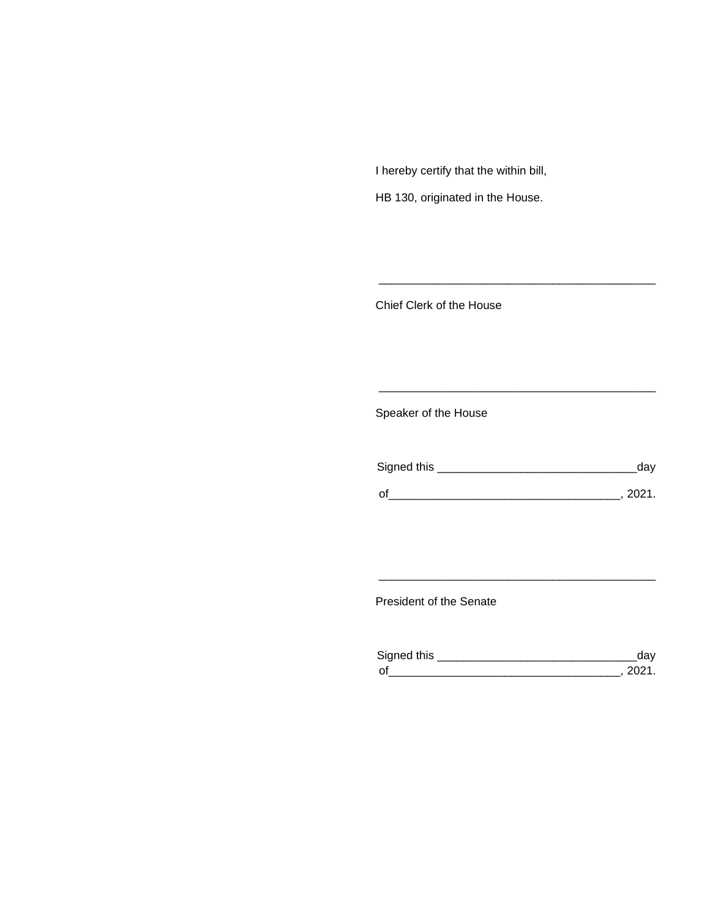I hereby certify that the within bill,

HB 130, originated in the House.

Chief Clerk of the House

Speaker of the House

| Signed this | dav    |
|-------------|--------|
| $\Omega$    | - 2021 |

\_\_\_\_\_\_\_\_\_\_\_\_\_\_\_\_\_\_\_\_\_\_\_\_\_\_\_\_\_\_\_\_\_\_\_\_\_\_\_\_\_\_\_

\_\_\_\_\_\_\_\_\_\_\_\_\_\_\_\_\_\_\_\_\_\_\_\_\_\_\_\_\_\_\_\_\_\_\_\_\_\_\_\_\_\_\_

President of the Senate

| Sianed this |  |
|-------------|--|
| $\Omega$    |  |

\_\_\_\_\_\_\_\_\_\_\_\_\_\_\_\_\_\_\_\_\_\_\_\_\_\_\_\_\_\_\_\_\_\_\_\_\_\_\_\_\_\_\_